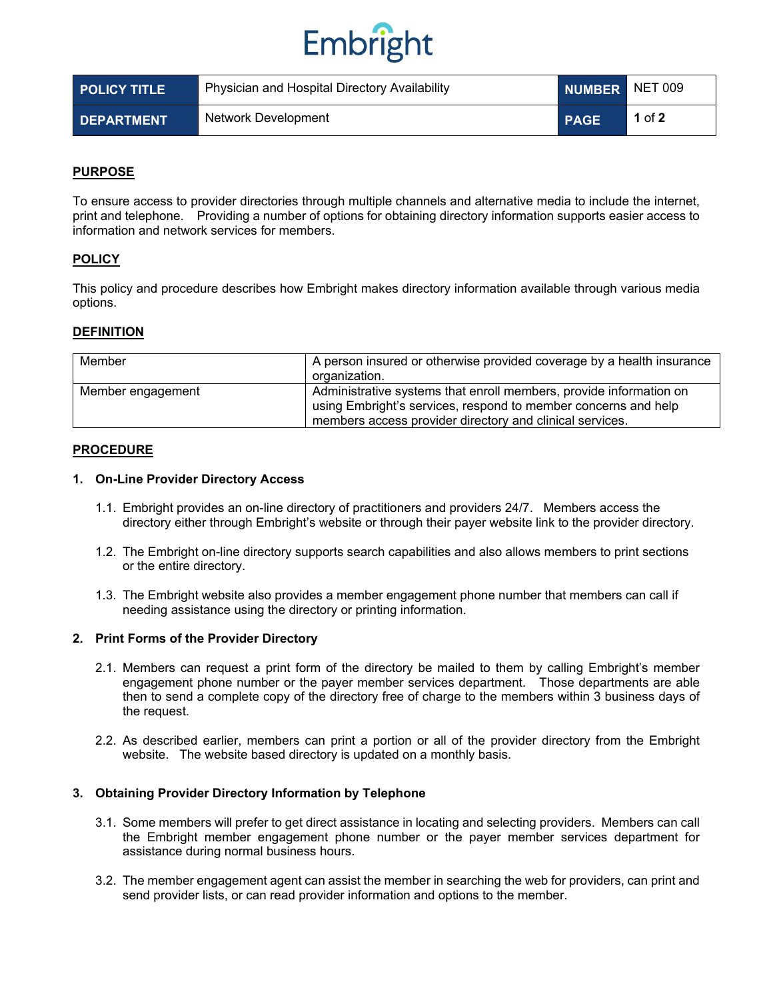# Embright

| <b>POLICY TITLE</b> | Physician and Hospital Directory Availability | NUMBER NET 009 |        |
|---------------------|-----------------------------------------------|----------------|--------|
| <b>DEPARTMENT</b>   | Network Development                           | <b>PAGE</b>    | 1 of 2 |

# **PURPOSE**

To ensure access to provider directories through multiple channels and alternative media to include the internet, print and telephone. Providing a number of options for obtaining directory information supports easier access to information and network services for members.

## **POLICY**

This policy and procedure describes how Embright makes directory information available through various media options.

## **DEFINITION**

| Member            | A person insured or otherwise provided coverage by a health insurance<br>organization.                                                                                                           |
|-------------------|--------------------------------------------------------------------------------------------------------------------------------------------------------------------------------------------------|
| Member engagement | Administrative systems that enroll members, provide information on<br>using Embright's services, respond to member concerns and help<br>members access provider directory and clinical services. |

## **PROCEDURE**

#### **1. On-Line Provider Directory Access**

- 1.1. Embright provides an on-line directory of practitioners and providers 24/7. Members access the directory either through Embright's website or through their payer website link to the provider directory.
- 1.2. The Embright on-line directory supports search capabilities and also allows members to print sections or the entire directory.
- 1.3. The Embright website also provides a member engagement phone number that members can call if needing assistance using the directory or printing information.

#### **2. Print Forms of the Provider Directory**

- 2.1. Members can request a print form of the directory be mailed to them by calling Embright's member engagement phone number or the payer member services department. Those departments are able then to send a complete copy of the directory free of charge to the members within 3 business days of the request.
- 2.2. As described earlier, members can print a portion or all of the provider directory from the Embright website. The website based directory is updated on a monthly basis.

#### **3. Obtaining Provider Directory Information by Telephone**

- 3.1. Some members will prefer to get direct assistance in locating and selecting providers. Members can call the Embright member engagement phone number or the payer member services department for assistance during normal business hours.
- 3.2. The member engagement agent can assist the member in searching the web for providers, can print and send provider lists, or can read provider information and options to the member.